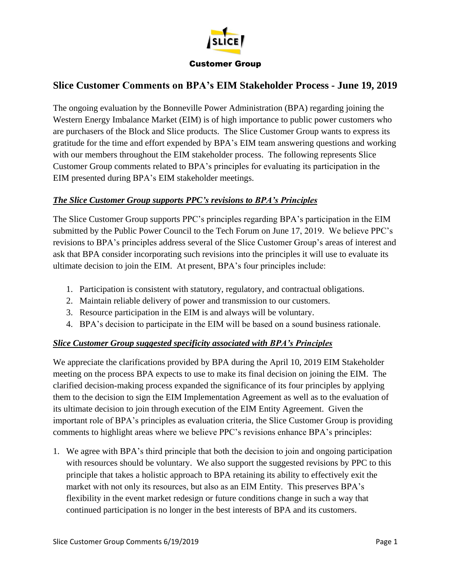

### Customer Group

# **Slice Customer Comments on BPA's EIM Stakeholder Process - June 19, 2019**

The ongoing evaluation by the Bonneville Power Administration (BPA) regarding joining the Western Energy Imbalance Market (EIM) is of high importance to public power customers who are purchasers of the Block and Slice products. The Slice Customer Group wants to express its gratitude for the time and effort expended by BPA's EIM team answering questions and working with our members throughout the EIM stakeholder process. The following represents Slice Customer Group comments related to BPA's principles for evaluating its participation in the EIM presented during BPA's EIM stakeholder meetings.

### *The Slice Customer Group supports PPC's revisions to BPA's Principles*

The Slice Customer Group supports PPC's principles regarding BPA's participation in the EIM submitted by the Public Power Council to the Tech Forum on June 17, 2019. We believe PPC's revisions to BPA's principles address several of the Slice Customer Group's areas of interest and ask that BPA consider incorporating such revisions into the principles it will use to evaluate its ultimate decision to join the EIM. At present, BPA's four principles include:

- 1. Participation is consistent with statutory, regulatory, and contractual obligations.
- 2. Maintain reliable delivery of power and transmission to our customers.
- 3. Resource participation in the EIM is and always will be voluntary.
- 4. BPA's decision to participate in the EIM will be based on a sound business rationale.

## *Slice Customer Group suggested specificity associated with BPA's Principles*

We appreciate the clarifications provided by BPA during the April 10, 2019 EIM Stakeholder meeting on the process BPA expects to use to make its final decision on joining the EIM. The clarified decision-making process expanded the significance of its four principles by applying them to the decision to sign the EIM Implementation Agreement as well as to the evaluation of its ultimate decision to join through execution of the EIM Entity Agreement. Given the important role of BPA's principles as evaluation criteria, the Slice Customer Group is providing comments to highlight areas where we believe PPC's revisions enhance BPA's principles:

1. We agree with BPA's third principle that both the decision to join and ongoing participation with resources should be voluntary. We also support the suggested revisions by PPC to this principle that takes a holistic approach to BPA retaining its ability to effectively exit the market with not only its resources, but also as an EIM Entity. This preserves BPA's flexibility in the event market redesign or future conditions change in such a way that continued participation is no longer in the best interests of BPA and its customers.